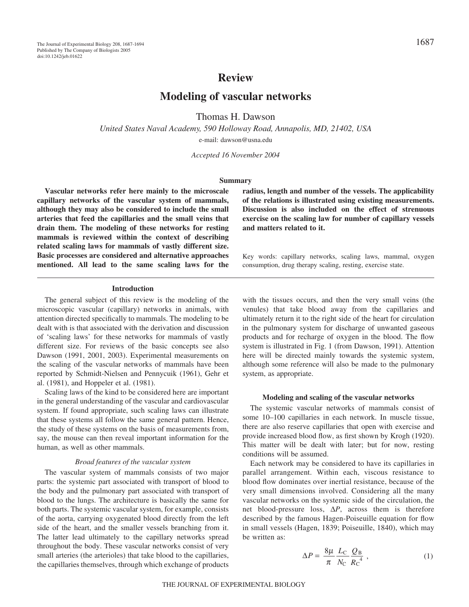# **Review**

**Modeling of vascular networks**

Thomas H. Dawson

*United States Naval Academy, 590 Holloway Road, Annapolis, MD, 21402, USA* e-mail: dawson@usna.edu

*Accepted 16 November 2004*

## **Summary**

**Vascular networks refer here mainly to the microscale capillary networks of the vascular system of mammals, although they may also be considered to include the small arteries that feed the capillaries and the small veins that drain them. The modeling of these networks for resting mammals is reviewed within the context of describing related scaling laws for mammals of vastly different size. Basic processes are considered and alternative approaches mentioned. All lead to the same scaling laws for the**

**radius, length and number of the vessels. The applicability of the relations is illustrated using existing measurements. Discussion is also included on the effect of strenuous exercise on the scaling law for number of capillary vessels and matters related to it.**

Key words: capillary networks, scaling laws, mammal, oxygen consumption, drug therapy scaling, resting, exercise state.

#### **Introduction**

The general subject of this review is the modeling of the microscopic vascular (capillary) networks in animals, with attention directed specifically to mammals. The modeling to be dealt with is that associated with the derivation and discussion of 'scaling laws' for these networks for mammals of vastly different size. For reviews of the basic concepts see also Dawson (1991, 2001, 2003). Experimental measurements on the scaling of the vascular networks of mammals have been reported by Schmidt-Nielsen and Pennycuik (1961), Gehr et al. (1981), and Hoppeler et al. (1981).

Scaling laws of the kind to be considered here are important in the general understanding of the vascular and cardiovascular system. If found appropriate, such scaling laws can illustrate that these systems all follow the same general pattern. Hence, the study of these systems on the basis of measurements from, say, the mouse can then reveal important information for the human, as well as other mammals.

#### *Broad features of the vascular system*

The vascular system of mammals consists of two major parts: the systemic part associated with transport of blood to the body and the pulmonary part associated with transport of blood to the lungs. The architecture is basically the same for both parts. The systemic vascular system, for example, consists of the aorta, carrying oxygenated blood directly from the left side of the heart, and the smaller vessels branching from it. The latter lead ultimately to the capillary networks spread throughout the body. These vascular networks consist of very small arteries (the arterioles) that take blood to the capillaries, the capillaries themselves, through which exchange of products

with the tissues occurs, and then the very small veins (the venules) that take blood away from the capillaries and ultimately return it to the right side of the heart for circulation in the pulmonary system for discharge of unwanted gaseous products and for recharge of oxygen in the blood. The flow system is illustrated in Fig. 1 (from Dawson, 1991). Attention here will be directed mainly towards the systemic system, although some reference will also be made to the pulmonary system, as appropriate.

#### **Modeling and scaling of the vascular networks**

The systemic vascular networks of mammals consist of some 10–100 capillaries in each network. In muscle tissue, there are also reserve capillaries that open with exercise and provide increased blood flow, as first shown by Krogh (1920). This matter will be dealt with later; but for now, resting conditions will be assumed.

Each network may be considered to have its capillaries in parallel arrangement. Within each, viscous resistance to blood flow dominates over inertial resistance, because of the very small dimensions involved. Considering all the many vascular networks on the systemic side of the circulation, the net blood-pressure loss, ∆*P*, across them is therefore described by the famous Hagen-Poiseuille equation for flow in small vessels (Hagen, 1839; Poiseuille, 1840), which may be written as:

$$
\Delta P = \frac{8\mu}{\pi} \frac{L_{\rm C}}{N_{\rm C}} \frac{Q_{\rm B}}{R_{\rm C}^4} \,, \tag{1}
$$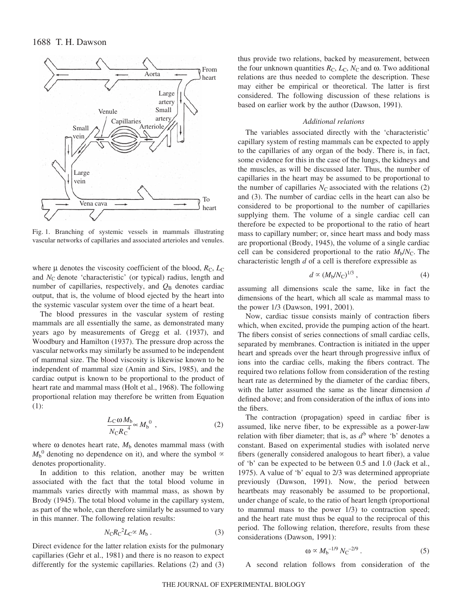

Fig. 1. Branching of systemic vessels in mammals illustrating vascular networks of capillaries and associated arterioles and venules.

where  $\mu$  denotes the viscosity coefficient of the blood,  $R_C$ ,  $L_C$ and *N*<sub>C</sub> denote 'characteristic' (or typical) radius, length and number of capillaries, respectively, and  $Q_B$  denotes cardiac output, that is, the volume of blood ejected by the heart into the systemic vascular system over the time of a heart beat.

The blood pressures in the vascular system of resting mammals are all essentially the same, as demonstrated many years ago by measurements of Gregg et al. (1937), and Woodbury and Hamilton (1937). The pressure drop across the vascular networks may similarly be assumed to be independent of mammal size. The blood viscosity is likewise known to be independent of mammal size (Amin and Sirs, 1985), and the cardiac output is known to be proportional to the product of heart rate and mammal mass (Holt et al., 1968). The following proportional relation may therefore be written from Equation (1):

$$
\frac{L_{\rm C}\omega M_{\rm b}}{N_{\rm C}R_{\rm C}^{4}} \sim M_{\rm b}^{0} \tag{2}
$$

where  $\omega$  denotes heart rate,  $M_b$  denotes mammal mass (with  $M_b^0$  denoting no dependence on it), and where the symbol  $\infty$ denotes proportionality.

In addition to this relation, another may be written associated with the fact that the total blood volume in mammals varies directly with mammal mass, as shown by Brody (1945). The total blood volume in the capillary system, as part of the whole, can therefore similarly be assumed to vary in this manner. The following relation results:

$$
N_{\rm C} R_{\rm C}{}^2 L_{\rm C} \propto M_{\rm b} \,. \tag{3}
$$

Direct evidence for the latter relation exists for the pulmonary capillaries (Gehr et al., 1981) and there is no reason to expect differently for the systemic capillaries. Relations (2) and (3) thus provide two relations, backed by measurement, between the four unknown quantities  $R_C$ ,  $L_C$ ,  $N_C$  and  $\omega$ . Two additional relations are thus needed to complete the description. These may either be empirical or theoretical. The latter is first considered. The following discussion of these relations is based on earlier work by the author (Dawson, 1991).

### *Additional relations*

The variables associated directly with the 'characteristic' capillary system of resting mammals can be expected to apply to the capillaries of any organ of the body. There is, in fact, some evidence for this in the case of the lungs, the kidneys and the muscles, as will be discussed later. Thus, the number of capillaries in the heart may be assumed to be proportional to the number of capillaries  $N<sub>C</sub>$  associated with the relations (2) and (3). The number of cardiac cells in the heart can also be considered to be proportional to the number of capillaries supplying them. The volume of a single cardiac cell can therefore be expected to be proportional to the ratio of heart mass to capillary number; or, since heart mass and body mass are proportional (Brody, 1945), the volume of a single cardiac cell can be considered proportional to the ratio  $M<sub>b</sub>/N<sub>C</sub>$ . The characteristic length *d* of a cell is therefore expressible as

$$
d \propto (M_{\rm b}/N_{\rm C})^{1/3} \,, \tag{4}
$$

assuming all dimensions scale the same, like in fact the dimensions of the heart, which all scale as mammal mass to the power 1/3 (Dawson, 1991, 2001).

Now, cardiac tissue consists mainly of contraction fibers which, when excited, provide the pumping action of the heart. The fibers consist of series connections of small cardiac cells, separated by membranes. Contraction is initiated in the upper heart and spreads over the heart through progressive influx of ions into the cardiac cells, making the fibers contract. The required two relations follow from consideration of the resting heart rate as determined by the diameter of the cardiac fibers, with the latter assumed the same as the linear dimension *d* defined above; and from consideration of the influx of ions into the fibers.

The contraction (propagation) speed in cardiac fiber is assumed, like nerve fiber, to be expressible as a power-law relation with fiber diameter; that is, as  $d<sup>b</sup>$  where 'b' denotes a constant. Based on experimental studies with isolated nerve fibers (generally considered analogous to heart fiber), a value of 'b' can be expected to be between 0.5 and 1.0 (Jack et al., 1975). A value of 'b' equal to 2/3 was determined appropriate previously (Dawson, 1991). Now, the period between heartbeats may reasonably be assumed to be proportional, under change of scale, to the ratio of heart length (proportional to mammal mass to the power 1/3) to contraction speed; and the heart rate must thus be equal to the reciprocal of this period. The following relation, therefore, results from these considerations (Dawson, 1991):

$$
\omega \propto M_{\rm b}^{-1/9} N_{\rm C}^{-2/9} \,. \tag{5}
$$

A second relation follows from consideration of the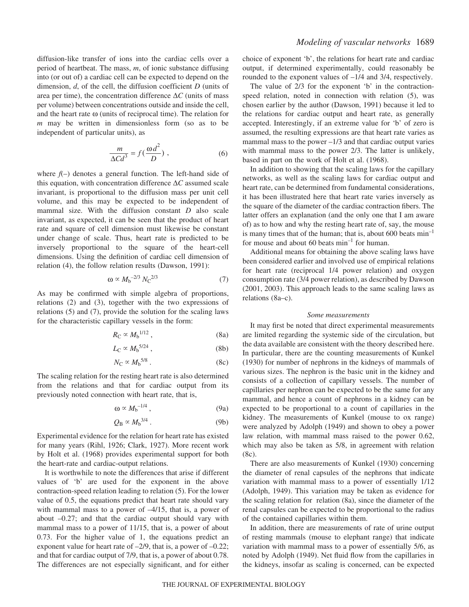diffusion-like transfer of ions into the cardiac cells over a period of heartbeat. The mass, *m*, of ionic substance diffusing into (or out of) a cardiac cell can be expected to depend on the dimension, *d*, of the cell, the diffusion coefficient *D* (units of area per time), the concentration difference ∆*C* (units of mass per volume) between concentrations outside and inside the cell, and the heart rate ω (units of reciprocal time). The relation for *m* may be written in dimensionless form (so as to be independent of particular units), as

$$
\frac{m}{\Delta C d^3} = f\left(\frac{\omega d^2}{D}\right),\tag{6}
$$

where  $f(-)$  denotes a general function. The left-hand side of this equation, with concentration difference ∆*C* assumed scale invariant, is proportional to the diffusion mass per unit cell volume, and this may be expected to be independent of mammal size. With the diffusion constant *D* also scale invariant, as expected, it can be seen that the product of heart rate and square of cell dimension must likewise be constant under change of scale. Thus, heart rate is predicted to be inversely proportional to the square of the heart-cell dimensions. Using the definition of cardiac cell dimension of relation (4), the follow relation results (Dawson, 1991):

$$
\omega \propto M_{\rm b}^{-2/3} N_{\rm C}^{-2/3} \tag{7}
$$

As may be confirmed with simple algebra of proportions, relations (2) and (3), together with the two expressions of relations (5) and (7), provide the solution for the scaling laws for the characteristic capillary vessels in the form:

$$
R_{\rm C} \propto M_{\rm b}^{1/12} \,, \tag{8a}
$$

$$
L_{\rm C} \propto M_{\rm b}^{5/24} \,, \tag{8b}
$$

$$
N_{\rm C} \propto M_{\rm b}^{5/8} \,. \tag{8c}
$$

The scaling relation for the resting heart rate is also determined from the relations and that for cardiac output from its previously noted connection with heart rate, that is,

$$
\omega \propto M_b^{-1/4} \,, \tag{9a}
$$

$$
Q_{\rm B} \propto M_{\rm b}^{3/4} \,. \tag{9b}
$$

Experimental evidence for the relation for heart rate has existed for many years (Rihl, 1926; Clark, 1927). More recent work by Holt et al. (1968) provides experimental support for both the heart-rate and cardiac-output relations.

It is worthwhile to note the differences that arise if different values of 'b' are used for the exponent in the above contraction-speed relation leading to relation (5). For the lower value of 0.5, the equations predict that heart rate should vary with mammal mass to a power of –4/15, that is, a power of about –0.27; and that the cardiac output should vary with mammal mass to a power of 11/15, that is, a power of about 0.73. For the higher value of 1, the equations predict an exponent value for heart rate of –2/9, that is, a power of –0.22; and that for cardiac output of 7/9, that is, a power of about 0.78. The differences are not especially significant, and for either

choice of exponent 'b', the relations for heart rate and cardiac output, if determined experimentally, could reasonably be rounded to the exponent values of –1/4 and 3/4, respectively.

The value of 2/3 for the exponent 'b' in the contractionspeed relation, noted in connection with relation (5), was chosen earlier by the author (Dawson, 1991) because it led to the relations for cardiac output and heart rate, as generally accepted. Interestingly, if an extreme value for 'b' of zero is assumed, the resulting expressions are that heart rate varies as mammal mass to the power  $-1/3$  and that cardiac output varies with mammal mass to the power 2/3. The latter is unlikely, based in part on the work of Holt et al. (1968).

In addition to showing that the scaling laws for the capillary networks, as well as the scaling laws for cardiac output and heart rate, can be determined from fundamental considerations, it has been illustrated here that heart rate varies inversely as the square of the diameter of the cardiac contraction fibers. The latter offers an explanation (and the only one that I am aware of) as to how and why the resting heart rate of, say, the mouse is many times that of the human; that is, about 600 beats  $min^{-1}$ for mouse and about 60 beats  $min^{-1}$  for human.

Additional means for obtaining the above scaling laws have been considered earlier and involved use of empirical relations for heart rate (reciprocal 1/4 power relation) and oxygen consumption rate (3/4 power relation), as described by Dawson (2001, 2003). This approach leads to the same scaling laws as relations (8a–c).

#### *Some measurements*

It may first be noted that direct experimental measurements are limited regarding the systemic side of the circulation, but the data available are consistent with the theory described here. In particular, there are the counting measurements of Kunkel (1930) for number of nephrons in the kidneys of mammals of various sizes. The nephron is the basic unit in the kidney and consists of a collection of capillary vessels. The number of capillaries per nephron can be expected to be the same for any mammal, and hence a count of nephrons in a kidney can be expected to be proportional to a count of capillaries in the kidney. The measurements of Kunkel (mouse to ox range) were analyzed by Adolph (1949) and shown to obey a power law relation, with mammal mass raised to the power 0.62, which may also be taken as 5/8, in agreement with relation (8c).

There are also measurements of Kunkel (1930) concerning the diameter of renal capsules of the nephrons that indicate variation with mammal mass to a power of essentially 1/12 (Adolph, 1949). This variation may be taken as evidence for the scaling relation for relation (8a), since the diameter of the renal capsules can be expected to be proportional to the radius of the contained capillaries within them.

In addition, there are measurements of rate of urine output of resting mammals (mouse to elephant range) that indicate variation with mammal mass to a power of essentially 5/6, as noted by Adolph (1949). Net fluid flow from the capillaries in the kidneys, insofar as scaling is concerned, can be expected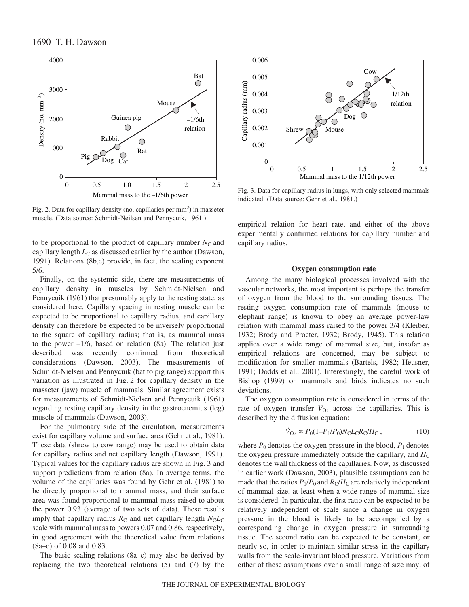

Fig. 2. Data for capillary density (no. capillaries per  $mm<sup>2</sup>$ ) in masseter muscle. (Data source: Schmidt-Neilsen and Pennycuik, 1961.)

to be proportional to the product of capillary number  $N_c$  and capillary length  $L<sub>C</sub>$  as discussed earlier by the author (Dawson, 1991). Relations (8b,c) provide, in fact, the scaling exponent 5/6.

Finally, on the systemic side, there are measurements of capillary density in muscles by Schmidt-Nielsen and Pennycuik (1961) that presumably apply to the resting state, as considered here. Capillary spacing in resting muscle can be expected to be proportional to capillary radius, and capillary density can therefore be expected to be inversely proportional to the square of capillary radius; that is, as mammal mass to the power  $-1/6$ , based on relation (8a). The relation just described was recently confirmed from theoretical considerations (Dawson, 2003). The measurements of Schmidt-Nielsen and Pennycuik (bat to pig range) support this variation as illustrated in Fig. 2 for capillary density in the masseter (jaw) muscle of mammals. Similar agreement exists for measurements of Schmidt-Nielsen and Pennycuik (1961) regarding resting capillary density in the gastrocnemius (leg) muscle of mammals (Dawson, 2003).

For the pulmonary side of the circulation, measurements exist for capillary volume and surface area (Gehr et al., 1981). These data (shrew to cow range) may be used to obtain data for capillary radius and net capillary length (Dawson, 1991). Typical values for the capillary radius are shown in Fig. 3 and support predictions from relation (8a). In average terms, the volume of the capillaries was found by Gehr et al. (1981) to be directly proportional to mammal mass, and their surface area was found proportional to mammal mass raised to about the power 0.93 (average of two sets of data). These results imply that capillary radius  $R_C$  and net capillary length  $N_C L_C$ scale with mammal mass to powers 0.07 and 0.86, respectively, in good agreement with the theoretical value from relations (8a–c) of 0.08 and 0.83.

The basic scaling relations (8a–c) may also be derived by replacing the two theoretical relations (5) and (7) by the



Fig. 3. Data for capillary radius in lungs, with only selected mammals indicated. (Data source: Gehr et al., 1981.)

empirical relation for heart rate, and either of the above experimentally confirmed relations for capillary number and capillary radius.

### **Oxygen consumption rate**

Among the many biological processes involved with the vascular networks, the most important is perhaps the transfer of oxygen from the blood to the surrounding tissues. The resting oxygen consumption rate of mammals (mouse to elephant range) is known to obey an average power-law relation with mammal mass raised to the power 3/4 (Kleiber, 1932; Brody and Procter, 1932; Brody, 1945). This relation applies over a wide range of mammal size, but, insofar as empirical relations are concerned, may be subject to modification for smaller mammals (Bartels, 1982; Heusner, 1991; Dodds et al., 2001). Interestingly, the careful work of Bishop (1999) on mammals and birds indicates no such deviations.

The oxygen consumption rate is considered in terms of the rate of oxygen transfer  $\dot{V}_{O<sub>2</sub>}$  across the capillaries. This is described by the diffusion equation:

$$
\dot{V}_{O_2} \propto P_0 (1 - P_1 / P_0) N_C L_C R_C / H_C , \qquad (10)
$$

where  $P_0$  denotes the oxygen pressure in the blood,  $P_1$  denotes the oxygen pressure immediately outside the capillary, and  $H_C$ denotes the wall thickness of the capillaries. Now, as discussed in earlier work (Dawson, 2003), plausible assumptions can be made that the ratios  $P_1/P_0$  and  $R_C/H_C$  are relatively independent of mammal size, at least when a wide range of mammal size is considered. In particular, the first ratio can be expected to be relatively independent of scale since a change in oxygen pressure in the blood is likely to be accompanied by a corresponding change in oxygen pressure in surrounding tissue. The second ratio can be expected to be constant, or nearly so, in order to maintain similar stress in the capillary walls from the scale-invariant blood pressure. Variations from either of these assumptions over a small range of size may, of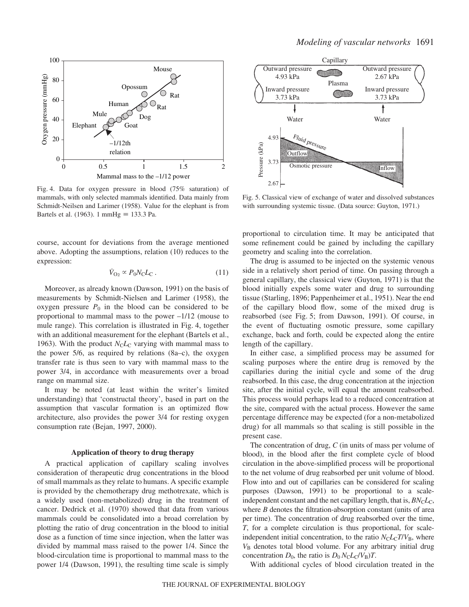

Fig. 4. Data for oxygen pressure in blood  $(75\%$  saturation) of mammals, with only selected mammals identified. Data mainly from Schmidt-Neilsen and Larimer (1958). Value for the elephant is from Bartels et al. (1963). 1 mmHg  $\equiv$  133.3 Pa.

course, account for deviations from the average mentioned above. Adopting the assumptions, relation (10) reduces to the expression:

$$
\dot{V}_{O_2} \propto P_0 N_C L_C \,. \tag{11}
$$

Moreover, as already known (Dawson, 1991) on the basis of measurements by Schmidt-Nielsen and Larimer (1958), the oxygen pressure  $P_0$  in the blood can be considered to be proportional to mammal mass to the power –1/12 (mouse to mule range). This correlation is illustrated in Fig. 4, together with an additional measurement for the elephant (Bartels et al., 1963). With the product  $N<sub>C</sub>L<sub>C</sub>$  varying with mammal mass to the power 5/6, as required by relations (8a–c), the oxygen transfer rate is thus seen to vary with mammal mass to the power 3/4, in accordance with measurements over a broad range on mammal size.

It may be noted (at least within the writer's limited understanding) that 'constructal theory', based in part on the assumption that vascular formation is an optimized flow architecture, also provides the power 3/4 for resting oxygen consumption rate (Bejan, 1997, 2000).

#### **Application of theory to drug therapy**

A practical application of capillary scaling involves consideration of therapeutic drug concentrations in the blood of small mammals as they relate to humans. A specific example is provided by the chemotherapy drug methotrexate, which is a widely used (non-metabolized) drug in the treatment of cancer. Dedrick et al. (1970) showed that data from various mammals could be consolidated into a broad correlation by plotting the ratio of drug concentration in the blood to initial dose as a function of time since injection, when the latter was divided by mammal mass raised to the power 1/4. Since the blood-circulation time is proportional to mammal mass to the power 1/4 (Dawson, 1991), the resulting time scale is simply



Fig. 5. Classical view of exchange of water and dissolved substances with surrounding systemic tissue. (Data source: Guyton, 1971.)

proportional to circulation time. It may be anticipated that some refinement could be gained by including the capillary geometry and scaling into the correlation.

The drug is assumed to be injected on the systemic venous side in a relatively short period of time. On passing through a general capillary, the classical view (Guyton, 1971) is that the blood initially expels some water and drug to surrounding tissue (Starling, 1896; Pappenheimer et al., 1951). Near the end of the capillary blood flow, some of the mixed drug is reabsorbed (see Fig. 5; from Dawson, 1991). Of course, in the event of fluctuating osmotic pressure, some capillary exchange, back and forth, could be expected along the entire length of the capillary.

In either case, a simplified process may be assumed for scaling purposes where the entire drug is removed by the capillaries during the initial cycle and some of the drug reabsorbed. In this case, the drug concentration at the injection site, after the initial cycle, will equal the amount reabsorbed. This process would perhaps lead to a reduced concentration at the site, compared with the actual process. However the same percentage difference may be expected (for a non-metabolized drug) for all mammals so that scaling is still possible in the present case.

The concentration of drug, *C* (in units of mass per volume of blood), in the blood after the first complete cycle of blood circulation in the above-simplified process will be proportional to the net volume of drug reabsorbed per unit volume of blood. Flow into and out of capillaries can be considered for scaling purposes (Dawson, 1991) to be proportional to a scaleindependent constant and the net capillary length, that is,  $BN<sub>C</sub>L<sub>C</sub>$ , where *B* denotes the filtration-absorption constant (units of area per time). The concentration of drug reabsorbed over the time, *T*, for a complete circulation is thus proportional, for scaleindependent initial concentration, to the ratio  $N_{\rm C}L_{\rm C}T/V_{\rm B}$ , where  $V<sub>B</sub>$  denotes total blood volume. For any arbitrary initial drug concentration  $D_0$ , the ratio is  $D_0 N_C L_C/V_B$ *T*.

With additional cycles of blood circulation treated in the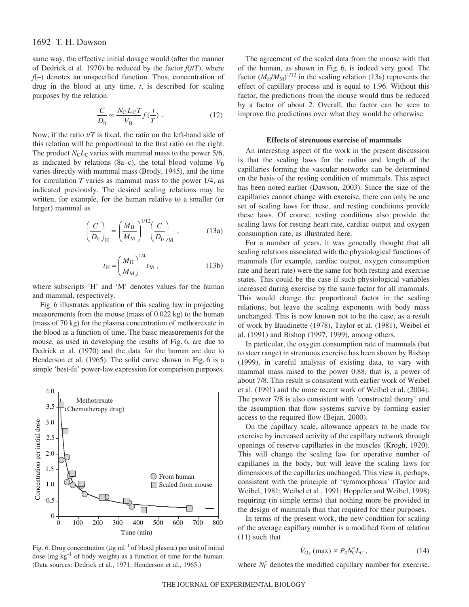## 1692 T. H. Dawson

same way, the effective initial dosage would (after the manner of Dedrick et al. 1970) be reduced by the factor  $f(t/T)$ , where *f*(–) denotes an unspecified function. Thus, concentration of drug in the blood at any time, *t*, is described for scaling purposes by the relation:

$$
\frac{C}{D_0} \propto \frac{N_{\rm C} L_{\rm C} T}{V_{\rm B}} f(\frac{t}{T}) \tag{12}
$$

Now, if the ratio *t*/*T* is fixed, the ratio on the left-hand side of this relation will be proportional to the first ratio on the right. The product  $N<sub>C</sub>L<sub>C</sub>$  varies with mammal mass to the power 5/6, as indicated by relations (8a–c), the total blood volume  $V_B$ varies directly with mammal mass (Brody, 1945), and the time for circulation *T* varies as mammal mass to the power 1/4, as indicated previously. The desired scaling relations may be written, for example, for the human relative to a smaller (or larger) mammal as

$$
\left(\frac{C}{D_0}\right)_{\rm H} = \left(\frac{M_{\rm H}}{M_{\rm M}}\right)^{1/12} \left(\frac{C}{D_0}\right)_{\rm M},\tag{13a}
$$

$$
t_{\rm H} = \left(\frac{M_{\rm H}}{M_{\rm M}}\right)^{1/4} t_{\rm M} , \qquad (13b)
$$

where subscripts 'H' and 'M' denotes values for the human and mammal, respectively.

Fig. 6 illustrates application of this scaling law in projecting measurements from the mouse (mass of  $0.022$  kg) to the human (mass of  $70 \text{ kg}$ ) for the plasma concentration of methotrexate in the blood as a function of time. The basic measurements for the mouse, as used in developing the results of Fig. 6, are due to Dedrick et al. (1970) and the data for the human are due to Henderson et al.  $(1965)$ . The solid curve shown in Fig. 6 is a simple 'best-fit' power-law expression for comparison purposes.



Fig. 6. Drug concentration ( $\mu$ g ml<sup>-1</sup> of blood plasma) per unit of initial dose (mg $kg^{-1}$  of body weight) as a function of time for the human. (Data sources: Dedrick et al., 1971; Henderson et al., 1965.)

The agreement of the scaled data from the mouse with that of the human, as shown in Fig. 6, is indeed very good. The factor  $(M_H/M_M)^{1/12}$  in the scaling relation (13a) represents the effect of capillary process and is equal to 1.96. Without this factor, the predictions from the mouse would thus be reduced by a factor of about 2. Overall, the factor can be seen to improve the predictions over what they would be otherwise.

### **Effects of strenuous exercise of mammals**

An interesting aspect of the work in the present discussion is that the scaling laws for the radius and length of the capillaries forming the vascular networks can be determined on the basis of the resting condition of mammals. This aspect has been noted earlier (Dawson, 2003). Since the size of the capillaries cannot change with exercise, there can only be one set of scaling laws for these, and resting conditions provide these laws. Of course, resting conditions also provide the scaling laws for resting heart rate, cardiac output and oxygen consumption rate, as illustrated here.

For a number of years, it was generally thought that all scaling relations associated with the physiological functions of mammals (for example, cardiac output, oxygen consumption rate and heart rate) were the same for both resting and exercise states. This could be the case if such physiological variables increased during exercise by the same factor for all mammals. This would change the proportional factor in the scaling relations, but leave the scaling exponents with body mass unchanged. This is now known not to be the case, as a result of work by Baudinette (1978), Taylor et al. (1981), Weibel et al. (1991) and Bishop (1997, 1999), among others.

In particular, the oxygen consumption rate of mammals (bat to steer range) in strenuous exercise has been shown by Bishop (1999), in careful analysis of existing data, to vary with mammal mass raised to the power 0.88, that is, a power of about 7/8. This result is consistent with earlier work of Weibel et al. (1991) and the more recent work of Weibel et al. (2004). The power 7/8 is also consistent with 'constructal theory' and the assumption that flow systems survive by forming easier access to the required flow (Bejan, 2000).

On the capillary scale, allowance appears to be made for exercise by increased activity of the capillary network through openings of reserve capillaries in the muscles (Krogh, 1920). This will change the scaling law for operative number of capillaries in the body, but will leave the scaling laws for dimensions of the capillaries unchanged. This view is, perhaps, consistent with the principle of 'symmorphosis' (Taylor and Weibel, 1981; Weibel et al., 1991; Hoppeler and Weibel, 1998) requiring (in simple terms) that nothing more be provided in the design of mammals than that required for their purposes.

In terms of the present work, the new condition for scaling of the average capillary number is a modified form of relation (11) such that

$$
\dot{V}_{\text{O}_2} \text{ (max)} \propto P_0 N_{\text{C}}^* L_{\text{C}} \,, \tag{14}
$$

where  $N_C^*$  denotes the modified capillary number for exercise.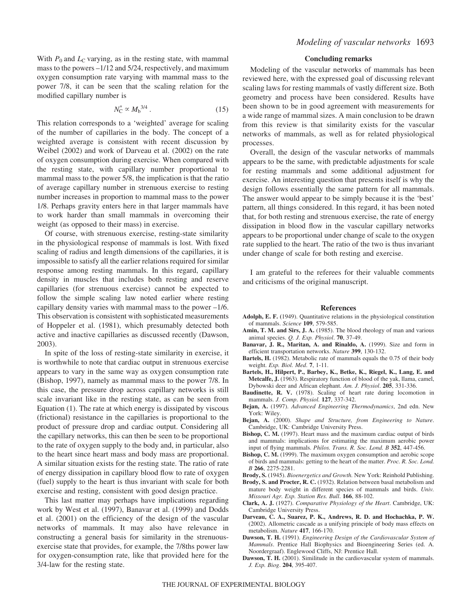With  $P_0$  and  $L<sub>C</sub>$  varying, as in the resting state, with mammal mass to the powers –1/12 and 5/24, respectively, and maximum oxygen consumption rate varying with mammal mass to the power 7/8, it can be seen that the scaling relation for the modified capillary number is

$$
N_{\rm C}^* \propto M_{\rm b}^{3/4} \,. \tag{15}
$$

This relation corresponds to a 'weighted' average for scaling of the number of capillaries in the body. The concept of a weighted average is consistent with recent discussion by Weibel (2002) and work of Darveau et al. (2002) on the rate of oxygen consumption during exercise. When compared with the resting state, with capillary number proportional to mammal mass to the power 5/8, the implication is that the ratio of average capillary number in strenuous exercise to resting number increases in proportion to mammal mass to the power 1/8. Perhaps gravity enters here in that larger mammals have to work harder than small mammals in overcoming their weight (as opposed to their mass) in exercise.

Of course, with strenuous exercise, resting-state similarity in the physiological response of mammals is lost. With fixed scaling of radius and length dimensions of the capillaries, it is impossible to satisfy all the earlier relations required for similar response among resting mammals. In this regard, capillary density in muscles that includes both resting and reserve capillaries (for strenuous exercise) cannot be expected to follow the simple scaling law noted earlier where resting capillary density varies with mammal mass to the power –1/6. This observation is consistent with sophisticated measurements of Hoppeler et al. (1981), which presumably detected both active and inactive capillaries as discussed recently (Dawson, 2003).

In spite of the loss of resting-state similarity in exercise, it is worthwhile to note that cardiac output in strenuous exercise appears to vary in the same way as oxygen consumption rate (Bishop, 1997), namely as mammal mass to the power 7/8. In this case, the pressure drop across capillary networks is still scale invariant like in the resting state, as can be seen from Equation (1). The rate at which energy is dissipated by viscous (frictional) resistance in the capillaries is proportional to the product of pressure drop and cardiac output. Considering all the capillary networks, this can then be seen to be proportional to the rate of oxygen supply to the body and, in particular, also to the heart since heart mass and body mass are proportional. A similar situation exists for the resting state. The ratio of rate of energy dissipation in capillary blood flow to rate of oxygen (fuel) supply to the heart is thus invariant with scale for both exercise and resting, consistent with good design practice.

This last matter may perhaps have implications regarding work by West et al. (1997), Banavar et al. (1999) and Dodds et al. (2001) on the efficiency of the design of the vascular networks of mammals. It may also have relevance in constructing a general basis for similarity in the strenuousexercise state that provides, for example, the 7/8ths power law for oxygen-consumption rate, like that provided here for the 3/4-law for the resting state.

## *Modeling of vascular networks* 1693

## **Concluding remarks**

Modeling of the vascular networks of mammals has been reviewed here, with the expressed goal of discussing relevant scaling laws for resting mammals of vastly different size. Both geometry and process have been considered. Results have been shown to be in good agreement with measurements for a wide range of mammal sizes. A main conclusion to be drawn from this review is that similarity exists for the vascular networks of mammals, as well as for related physiological processes.

Overall, the design of the vascular networks of mammals appears to be the same, with predictable adjustments for scale for resting mammals and some additional adjustment for exercise. An interesting question that presents itself is why the design follows essentially the same pattern for all mammals. The answer would appear to be simply because it is the 'best' pattern, all things considered. In this regard, it has been noted that, for both resting and strenuous exercise, the rate of energy dissipation in blood flow in the vascular capillary networks appears to be proportional under change of scale to the oxygen rate supplied to the heart. The ratio of the two is thus invariant under change of scale for both resting and exercise.

I am grateful to the referees for their valuable comments and criticisms of the original manuscript.

#### **References**

- **Adolph, E. F. (**1949). Quantitative relations in the physiological constitution of mammals. *Science* **109**, 579-585.
- Amin, T. M. and Sirs, J. A. (1985). The blood rheology of man and various animal species. *Q. J. Exp. Physiol*. **70**, 37-49.
- Banavar, J. R., Maritan, A. and Rinaldo, A. (1999). Size and form in efficient transportation networks. *Nature* **399**, 130-132.
- Bartels, H. (1982). Metabolic rate of mammals equals the 0.75 of their body weight. *Exp. Biol. Med*. **7**, 1-11.
- **Bartels, H., Hilpert, P., Barbey, K., Betke, K., Riegel, K., Lang, E. and Metcalfe, J.** (1963). Respiratory function of blood of the yak, llama, camel, Dybowski deer and African elephant. *Am. J. Physiol*. **205**, 331-336.
- **Baudinette, R. V.** (1978). Scaling of heart rate during locomotion in mammals. *J. Comp*. *Physiol.* **127**, 337-342.
- **Bejan, A.** (1997). *Advanced Engineering Thermodynamics*, 2nd edn. New York: Wiley.
- **Bejan, A.** (2000). *Shape and Structure, from Engineering to Nature*. Cambridge, UK: Cambridge University Press.
- **Bishop, C. M.** (1997). Heart mass and the maximum cardiac output of birds and mammals: implications for estimating the maximum aerobic power input of flying mammals. *Philos. Trans. R. Soc. Lond. B* **352**, 447-456.
- **Bishop, C. M.** (1999). The maximum oxygen consumption and aerobic scope of birds and mammals: getting to the heart of the matter. *Proc. R. Soc. Lond. B* **266**, 2275-2281.
- **Brody, S.** (1945). *Bioenergetics and Growth.* New York: Reinhold Publishing.
- **Brody, S. and Procter, R. C.** (1932). Relation between basal metabolism and mature body weight in different species of mammals and birds. *Univ. Missouri Agr. Exp. Station Res. Bull*. **166**, 88-102.
- **Clark, A. J.** (1927). *Comparative Physiology of the Heart*. Cambridge, UK: Cambridge University Press.
- **Darveau, C. A., Suarez, P. K., Andrews, R. D. and Hochachka, P. W.** (2002). Allometric cascade as a unifying principle of body mass effects on metabolism. *Nature* **417**, 166-170.
- **Dawson, T. H.** (1991). *Engineering Design of the Cardiovascular System of Mammals*. Prentice Hall Biophysics and Bioengineering Series (ed. A. Noordergraaf). Englewood Cliffs, NJ: Prentice Hall.
- **Dawson, T. H.** (2001). Similitude in the cardiovascular system of mammals. *J. Exp. Biog*. **204**, 395-407.